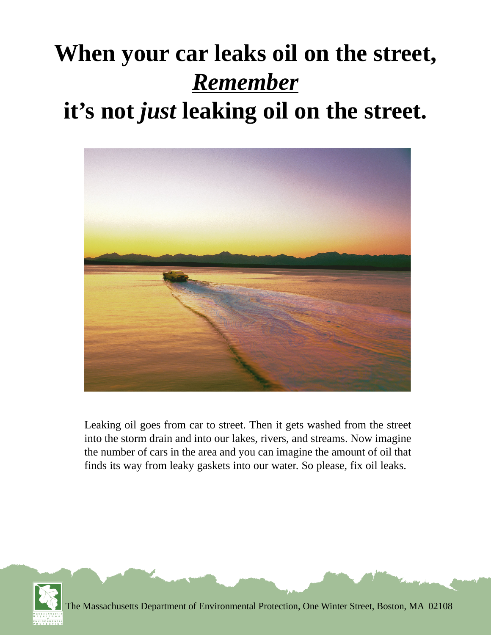# **When your car leaks oil on the street,** *Remember* **it's not** *just* **leaking oil on the street.**



Leaking oil goes from car to street. Then it gets washed from the street into the storm drain and into our lakes, rivers, and streams. Now imagine the number of cars in the area and you can imagine the amount of oil that finds its way from leaky gaskets into our water. So please, fix oil leaks.



The Massachusetts Department of Environmental Protection, One Winter Street, Boston, MA 02108